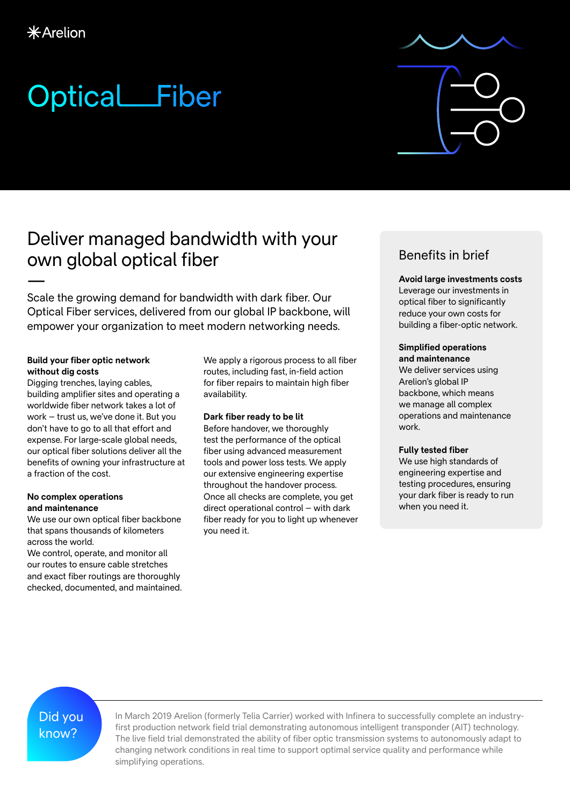## Optical Fiber

## Deliver managed bandwidth with your own global optical fiber

— Scale the growing demand for bandwidth with dark fiber. Our Optical Fiber services, delivered from our global IP backbone, will empower your organization to meet modern networking needs.

#### **Build your fiber optic network without dig costs**

Digging trenches, laying cables, building amplifier sites and operating a worldwide fiber network takes a lot of work – trust us, we've done it. But you don't have to go to all that effort and expense. For large-scale global needs, our optical fiber solutions deliver all the benefits of owning your infrastructure at a fraction of the cost.

#### **No complex operations and maintenance**

We use our own optical fiber backbone that spans thousands of kilometers across the world.

We control, operate, and monitor all our routes to ensure cable stretches and exact fiber routings are thoroughly checked, documented, and maintained. We apply a rigorous process to all fiber routes, including fast, in-field action for fiber repairs to maintain high fiber availability.

#### **Dark fiber ready to be lit**

Before handover, we thoroughly test the performance of the optical fiber using advanced measurement tools and power loss tests. We apply our extensive engineering expertise throughout the handover process. Once all checks are complete, you get direct operational control – with dark fiber ready for you to light up whenever you need it.

### Benefits in brief

#### **Avoid large investments costs**

Leverage our investments in optical fiber to significantly reduce your own costs for building a fiber-optic network.

#### **Simplified operations and maintenance**

We deliver services using Arelion's global IP backbone, which means we manage all complex operations and maintenance work.

#### **Fully tested fiber**

We use high standards of engineering expertise and testing procedures, ensuring your dark fiber is ready to run when you need it.

Did you know?

In March 2019 Arelion (formerly Telia Carrier) worked with Infinera to successfully complete an industryfirst production network field trial demonstrating autonomous intelligent transponder (AIT) technology. The live field trial demonstrated the ability of fiber optic transmission systems to autonomously adapt to changing network conditions in real time to support optimal service quality and performance while simplifying operations.